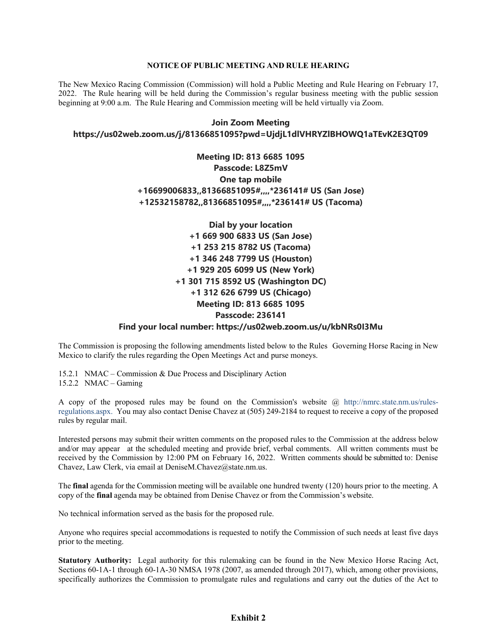#### **NOTICE OF PUBLIC MEETING AND RULE HEARING**

The New Mexico Racing Commission (Commission) will hold a Public Meeting and Rule Hearing on February 17, 2022. The Rule hearing will be held during the Commission's regular business meeting with the public session beginning at 9:00 a.m. The Rule Hearing and Commission meeting will be held virtually via Zoom.

## **Join Zoom Meeting https://us02web.zoom.us/j/81366851095?pwd=UjdjL1dlVHRYZlBHOWQ1aTEvK2E3QT09**

# **Meeting ID: 813 6685 1095 Passcode: L8Z5mV One tap mobile +16699006833,,81366851095#,,,,\*236141# US (San Jose) +12532158782,,81366851095#,,,,\*236141# US (Tacoma)**

**Dial by your location +1 669 900 6833 US (San Jose) +1 253 215 8782 US (Tacoma) +1 346 248 7799 US (Houston) +1 929 205 6099 US (New York) +1 301 715 8592 US (Washington DC) +1 312 626 6799 US (Chicago) Meeting ID: 813 6685 1095 Passcode: 236141**

#### **Find your local number: https://us02web.zoom.us/u/kbNRs0I3Mu**

The Commission is proposing the following amendments listed below to the Rules Governing Horse Racing in New Mexico to clarify the rules regarding the Open Meetings Act and purse moneys.

15.2.1 NMAC – Commission & Due Process and Disciplinary Action 15.2.2 NMAC – Gaming

A copy of the proposed rules may be found on the Commission's website @ [http://nmrc.state.nm.us/rules](http://nmrc.state.nm.us/rules-regulations.aspx)[regulations.aspx.](http://nmrc.state.nm.us/rules-regulations.aspx) You may also contact Denise Chavez at (505) 249-2184 to request to receive a copy of the proposed rules by regular mail.

Interested persons may submit their written comments on the proposed rules to the Commission at the address below and/or may appear at the scheduled meeting and provide brief, verbal comments. All written comments must be received by the Commission by 12:00 PM on February 16, 2022. Written comments should be submitted to: Denise Chavez, Law Clerk, via email at DeniseM.Chavez@state.nm.us.

The **final** agenda for the Commission meeting will be available one hundred twenty (120) hours prior to the meeting. A copy of the **final** agenda may be obtained from Denise Chavez or from the Commission's website.

No technical information served as the basis for the proposed rule.

Anyone who requires special accommodations is requested to notify the Commission of such needs at least five days prior to the meeting.

**Statutory Authority:** Legal authority for this rulemaking can be found in the New Mexico Horse Racing Act, Sections 60-1A-1 through 60-1A-30 NMSA 1978 (2007, as amended through 2017), which, among other provisions, specifically authorizes the Commission to promulgate rules and regulations and carry out the duties of the Act to

### **Exhibit 2**